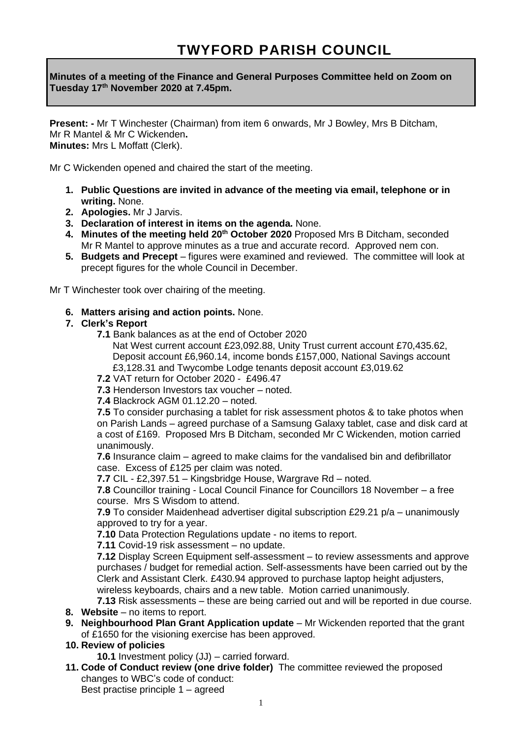### **Minutes of a meeting of the Finance and General Purposes Committee held on Zoom on Tuesday 17th November 2020 at 7.45pm.**

**Present: -** Mr T Winchester (Chairman) from item 6 onwards, Mr J Bowley, Mrs B Ditcham, Mr R Mantel & Mr C Wickenden**. Minutes:** Mrs L Moffatt (Clerk).

Mr C Wickenden opened and chaired the start of the meeting.

- **1. Public Questions are invited in advance of the meeting via email, telephone or in writing.** None.
- **2. Apologies.** Mr J Jarvis.
- **3. Declaration of interest in items on the agenda.** None.
- **4. Minutes of the meeting held 20th October 2020** Proposed Mrs B Ditcham, seconded Mr R Mantel to approve minutes as a true and accurate record. Approved nem con.
- **5. Budgets and Precept** figures were examined and reviewed. The committee will look at precept figures for the whole Council in December.

Mr T Winchester took over chairing of the meeting.

**6. Matters arising and action points.** None.

#### **7. Clerk's Report**

**7.1** Bank balances as at the end of October 2020

Nat West current account £23,092.88, Unity Trust current account £70,435.62, Deposit account £6,960.14, income bonds £157,000, National Savings account £3,128.31 and Twycombe Lodge tenants deposit account £3,019.62

- **7.2** VAT return for October 2020 £496.47
- **7.3** Henderson Investors tax voucher noted.
- **7.4** Blackrock AGM 01.12.20 noted.

**7.5** To consider purchasing a tablet for risk assessment photos & to take photos when on Parish Lands – agreed purchase of a Samsung Galaxy tablet, case and disk card at a cost of £169. Proposed Mrs B Ditcham, seconded Mr C Wickenden, motion carried unanimously.

**7.6** Insurance claim – agreed to make claims for the vandalised bin and defibrillator case. Excess of £125 per claim was noted.

**7.7** CIL - £2,397.51 – Kingsbridge House, Wargrave Rd – noted.

**7.8** Councillor training - Local Council Finance for Councillors 18 November – a free course. Mrs S Wisdom to attend.

**7.9** To consider Maidenhead advertiser digital subscription £29.21 p/a – unanimously approved to try for a year.

**7.10** Data Protection Regulations update - no items to report.

**7.11** Covid-19 risk assessment – no update.

**7.12** Display Screen Equipment self-assessment – to review assessments and approve purchases / budget for remedial action. Self-assessments have been carried out by the Clerk and Assistant Clerk. £430.94 approved to purchase laptop height adjusters, wireless keyboards, chairs and a new table. Motion carried unanimously.

**7.13** Risk assessments – these are being carried out and will be reported in due course.

- **8. Website** no items to report.
- **9. Neighbourhood Plan Grant Application update**  Mr Wickenden reported that the grant of £1650 for the visioning exercise has been approved.

#### **10. Review of policies**

- **10.1** Investment policy (JJ) carried forward.
- **11. Code of Conduct review (one drive folder)** The committee reviewed the proposed changes to WBC's code of conduct:

Best practise principle 1 – agreed